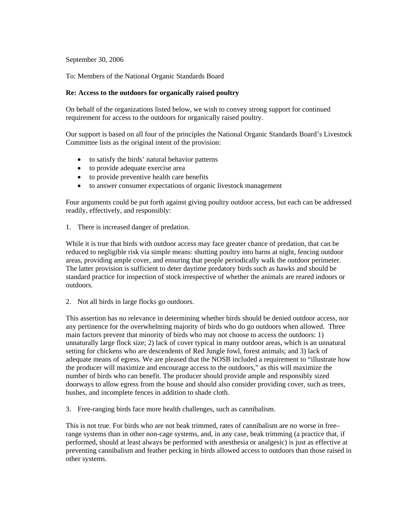# September 30, 2006

## To: Members of the National Organic Standards Board

#### **Re: Access to the outdoors for organically raised poultry**

On behalf of the organizations listed below, we wish to convey strong support for continued requirement for access to the outdoors for organically raised poultry.

Our support is based on all four of the principles the National Organic Standards Board's Livestock Committee lists as the original intent of the provision:

- to satisfy the birds' natural behavior patterns
- to provide adequate exercise area
- to provide preventive health care benefits
- to answer consumer expectations of organic livestock management

Four arguments could be put forth against giving poultry outdoor access, but each can be addressed readily, effectively, and responsibly:

1. There is increased danger of predation.

While it is true that birds with outdoor access may face greater chance of predation, that can be reduced to negligible risk via simple means: shutting poultry into barns at night, fencing outdoor areas, providing ample cover, and ensuring that people periodically walk the outdoor perimeter. The latter provision is sufficient to deter daytime predatory birds such as hawks and should be standard practice for inspection of stock irrespective of whether the animals are reared indoors or outdoors.

2. Not all birds in large flocks go outdoors.

This assertion has no relevance in determining whether birds should be denied outdoor access, nor any pertinence for the overwhelming majority of birds who do go outdoors when allowed. Three main factors prevent that minority of birds who may not choose to access the outdoors: 1) unnaturally large flock size; 2) lack of cover typical in many outdoor areas, which is an unnatural setting for chickens who are descendents of Red Jungle fowl, forest animals; and 3) lack of adequate means of egress. We are pleased that the NOSB included a requirement to "illustrate how the producer will maximize and encourage access to the outdoors," as this will maximize the number of birds who can benefit. The producer should provide ample and responsibly sized doorways to allow egress from the house and should also consider providing cover, such as trees, bushes, and incomplete fences in addition to shade cloth.

3. Free-ranging birds face more health challenges, such as cannibalism.

This is not true. For birds who are not beak trimmed, rates of cannibalism are no worse in free– range systems than in other non-cage systems, and, in any case, beak trimming (a practice that, if performed, should at least always be performed with anesthesia or analgesic) is just as effective at preventing cannibalism and feather pecking in birds allowed access to outdoors than those raised in other systems.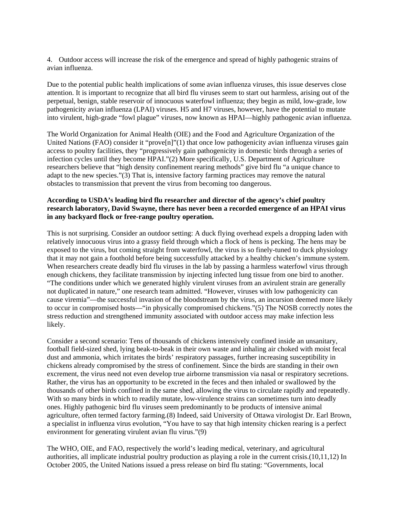4. Outdoor access will increase the risk of the emergence and spread of highly pathogenic strains of avian influenza.

Due to the potential public health implications of some avian influenza viruses, this issue deserves close attention. It is important to recognize that all bird flu viruses seem to start out harmless, arising out of the perpetual, benign, stable reservoir of innocuous waterfowl influenza; they begin as mild, low-grade, low pathogenicity avian influenza (LPAI) viruses. H5 and H7 viruses, however, have the potential to mutate into virulent, high-grade "fowl plague" viruses, now known as HPAI—highly pathogenic avian influenza.

The World Organization for Animal Health (OIE) and the Food and Agriculture Organization of the United Nations (FAO) consider it "prove[n]"(1) that once low pathogenicity avian influenza viruses gain access to poultry facilities, they "progressively gain pathogenicity in domestic birds through a series of infection cycles until they become HPAI."(2) More specifically, U.S. Department of Agriculture researchers believe that "high density confinement rearing methods" give bird flu "a unique chance to adapt to the new species."(3) That is, intensive factory farming practices may remove the natural obstacles to transmission that prevent the virus from becoming too dangerous.

# **According to USDA's leading bird flu researcher and director of the agency's chief poultry research laboratory, David Swayne, there has never been a recorded emergence of an HPAI virus in any backyard flock or free-range poultry operation.**

This is not surprising. Consider an outdoor setting: A duck flying overhead expels a dropping laden with relatively innocuous virus into a grassy field through which a flock of hens is pecking. The hens may be exposed to the virus, but coming straight from waterfowl, the virus is so finely-tuned to duck physiology that it may not gain a foothold before being successfully attacked by a healthy chicken's immune system. When researchers create deadly bird flu viruses in the lab by passing a harmless waterfowl virus through enough chickens, they facilitate transmission by injecting infected lung tissue from one bird to another. "The conditions under which we generated highly virulent viruses from an avirulent strain are generally not duplicated in nature," one research team admitted. "However, viruses with low pathogenicity can cause viremia"—the successful invasion of the bloodstream by the virus, an incursion deemed more likely to occur in compromised hosts—"in physically compromised chickens."(5) The NOSB correctly notes the stress reduction and strengthened immunity associated with outdoor access may make infection less likely.

Consider a second scenario: Tens of thousands of chickens intensively confined inside an unsanitary, football field-sized shed, lying beak-to-beak in their own waste and inhaling air choked with moist fecal dust and ammonia, which irritates the birds' respiratory passages, further increasing susceptibility in chickens already compromised by the stress of confinement. Since the birds are standing in their own excrement, the virus need not even develop true airborne transmission via nasal or respiratory secretions. Rather, the virus has an opportunity to be excreted in the feces and then inhaled or swallowed by the thousands of other birds confined in the same shed, allowing the virus to circulate rapidly and repeatedly. With so many birds in which to readily mutate, low-virulence strains can sometimes turn into deadly ones. Highly pathogenic bird flu viruses seem predominantly to be products of intensive animal agriculture, often termed factory farming.(8) Indeed, said University of Ottawa virologist Dr. Earl Brown, a specialist in influenza virus evolution, "You have to say that high intensity chicken rearing is a perfect environment for generating virulent avian flu virus."(9)

The WHO, OIE, and FAO, respectively the world's leading medical, veterinary, and agricultural authorities, all implicate industrial poultry production as playing a role in the current crisis.(10,11,12) In October 2005, the United Nations issued a press release on bird flu stating: "Governments, local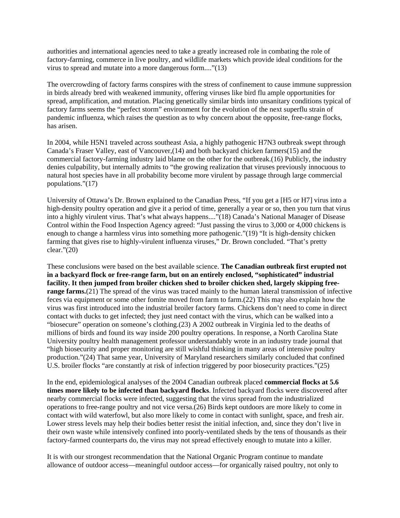authorities and international agencies need to take a greatly increased role in combating the role of factory-farming, commerce in live poultry, and wildlife markets which provide ideal conditions for the virus to spread and mutate into a more dangerous form...."(13)

The overcrowding of factory farms conspires with the stress of confinement to cause immune suppression in birds already bred with weakened immunity, offering viruses like bird flu ample opportunities for spread, amplification, and mutation. Placing genetically similar birds into unsanitary conditions typical of factory farms seems the "perfect storm" environment for the evolution of the next superflu strain of pandemic influenza, which raises the question as to why concern about the opposite, free-range flocks, has arisen.

In 2004, while H5N1 traveled across southeast Asia, a highly pathogenic H7N3 outbreak swept through Canada's Fraser Valley, east of Vancouver,(14) and both backyard chicken farmers(15) and the commercial factory-farming industry laid blame on the other for the outbreak.(16) Publicly, the industry denies culpability, but internally admits to "the growing realization that viruses previously innocuous to natural host species have in all probability become more virulent by passage through large commercial populations."(17)

University of Ottawa's Dr. Brown explained to the Canadian Press, "If you get a [H5 or H7] virus into a high-density poultry operation and give it a period of time, generally a year or so, then you turn that virus into a highly virulent virus. That's what always happens...."(18) Canada's National Manager of Disease Control within the Food Inspection Agency agreed: "Just passing the virus to 3,000 or 4,000 chickens is enough to change a harmless virus into something more pathogenic."(19) "It is high-density chicken farming that gives rise to highly-virulent influenza viruses," Dr. Brown concluded. "That's pretty clear."(20)

These conclusions were based on the best available science. **The Canadian outbreak first erupted not in a backyard flock or free-range farm, but on an entirely enclosed, "sophisticated" industrial facility. It then jumped from broiler chicken shed to broiler chicken shed, largely skipping freerange farms.**(21) The spread of the virus was traced mainly to the human lateral transmission of infective feces via equipment or some other fomite moved from farm to farm.(22) This may also explain how the virus was first introduced into the industrial broiler factory farms. Chickens don't need to come in direct contact with ducks to get infected; they just need contact with the virus, which can be walked into a "biosecure" operation on someone's clothing.(23) A 2002 outbreak in Virginia led to the deaths of millions of birds and found its way inside 200 poultry operations. In response, a North Carolina State University poultry health management professor understandably wrote in an industry trade journal that "high biosecurity and proper monitoring are still wishful thinking in many areas of intensive poultry production."(24) That same year, University of Maryland researchers similarly concluded that confined U.S. broiler flocks "are constantly at risk of infection triggered by poor biosecurity practices."(25)

In the end, epidemiological analyses of the 2004 Canadian outbreak placed **commercial flocks at 5.6 times more likely to be infected than backyard flocks**. Infected backyard flocks were discovered after nearby commercial flocks were infected, suggesting that the virus spread from the industrialized operations to free-range poultry and not vice versa.(26) Birds kept outdoors are more likely to come in contact with wild waterfowl, but also more likely to come in contact with sunlight, space, and fresh air. Lower stress levels may help their bodies better resist the initial infection, and, since they don't live in their own waste while intensively confined into poorly-ventilated sheds by the tens of thousands as their factory-farmed counterparts do, the virus may not spread effectively enough to mutate into a killer.

It is with our strongest recommendation that the National Organic Program continue to mandate allowance of outdoor access—meaningful outdoor access—for organically raised poultry, not only to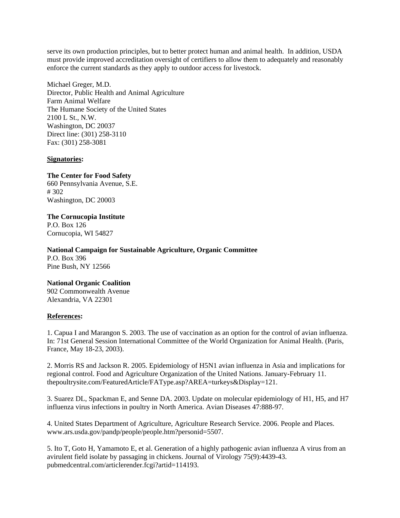serve its own production principles, but to better protect human and animal health. In addition, USDA must provide improved accreditation oversight of certifiers to allow them to adequately and reasonably enforce the current standards as they apply to outdoor access for livestock.

Michael Greger, M.D. Director, Public Health and Animal Agriculture Farm Animal Welfare The Humane Society of the United States 2100 L St., N.W. Washington, DC 20037 Direct line: (301) 258-3110 Fax: (301) 258-3081

#### **Signatories:**

## **The Center for Food Safety**

660 Pennsylvania Avenue, S.E. # 302 Washington, DC 20003

# **The Cornucopia Institute**

P.O. Box 126 Cornucopia, WI 54827

**National Campaign for Sustainable Agriculture, Organic Committee**  P.O. Box 396

Pine Bush, NY 12566

# **National Organic Coalition**

902 Commonwealth Avenue Alexandria, VA 22301

# **References:**

1. Capua I and Marangon S. 2003. The use of vaccination as an option for the control of avian influenza. In: 71st General Session International Committee of the World Organization for Animal Health. (Paris, France, May 18-23, 2003).

2. Morris RS and Jackson R. 2005. Epidemiology of H5N1 avian influenza in Asia and implications for regional control. Food and Agriculture Organization of the United Nations. January-February 11. thepoultrysite.com/FeaturedArticle/FAType.asp?AREA=turkeys&Display=121.

3. Suarez DL, Spackman E, and Senne DA. 2003. Update on molecular epidemiology of H1, H5, and H7 influenza virus infections in poultry in North America. Avian Diseases 47:888-97.

4. United States Department of Agriculture, Agriculture Research Service. 2006. People and Places. www.ars.usda.gov/pandp/people/people.htm?personid=5507.

5. Ito T, Goto H, Yamamoto E, et al. Generation of a highly pathogenic avian influenza A virus from an avirulent field isolate by passaging in chickens. Journal of Virology 75(9):4439-43. pubmedcentral.com/articlerender.fcgi?artid=114193.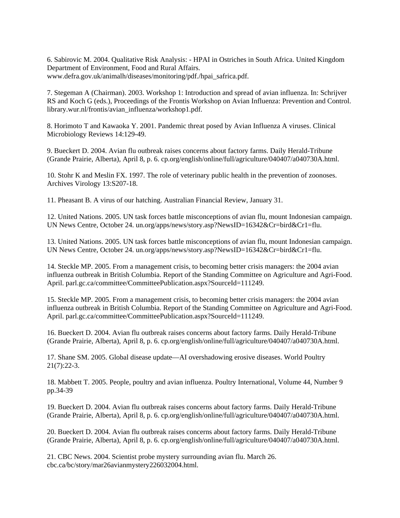6. Sabirovic M. 2004. Qualitative Risk Analysis: - HPAI in Ostriches in South Africa. United Kingdom Department of Environment, Food and Rural Affairs. www.defra.gov.uk/animalh/diseases/monitoring/pdf./hpai\_safrica.pdf.

7. Stegeman A (Chairman). 2003. Workshop 1: Introduction and spread of avian influenza. In: Schrijver RS and Koch G (eds.), Proceedings of the Frontis Workshop on Avian Influenza: Prevention and Control. library.wur.nl/frontis/avian\_influenza/workshop1.pdf.

8. Horimoto T and Kawaoka Y. 2001. Pandemic threat posed by Avian Influenza A viruses. Clinical Microbiology Reviews 14:129-49.

9. Bueckert D. 2004. Avian flu outbreak raises concerns about factory farms. Daily Herald-Tribune (Grande Prairie, Alberta), April 8, p. 6. cp.org/english/online/full/agriculture/040407/a040730A.html.

10. Stohr K and Meslin FX. 1997. The role of veterinary public health in the prevention of zoonoses. Archives Virology 13:S207-18.

11. Pheasant B. A virus of our hatching. Australian Financial Review, January 31.

12. United Nations. 2005. UN task forces battle misconceptions of avian flu, mount Indonesian campaign. UN News Centre, October 24. un.org/apps/news/story.asp?NewsID=16342&Cr=bird&Cr1=flu.

13. United Nations. 2005. UN task forces battle misconceptions of avian flu, mount Indonesian campaign. UN News Centre, October 24. un.org/apps/news/story.asp?NewsID=16342&Cr=bird&Cr1=flu.

14. Steckle MP. 2005. From a management crisis, to becoming better crisis managers: the 2004 avian influenza outbreak in British Columbia. Report of the Standing Committee on Agriculture and Agri-Food. April. parl.gc.ca/committee/CommitteePublication.aspx?SourceId=111249.

15. Steckle MP. 2005. From a management crisis, to becoming better crisis managers: the 2004 avian influenza outbreak in British Columbia. Report of the Standing Committee on Agriculture and Agri-Food. April. parl.gc.ca/committee/CommitteePublication.aspx?SourceId=111249.

16. Bueckert D. 2004. Avian flu outbreak raises concerns about factory farms. Daily Herald-Tribune (Grande Prairie, Alberta), April 8, p. 6. cp.org/english/online/full/agriculture/040407/a040730A.html.

17. Shane SM. 2005. Global disease update—AI overshadowing erosive diseases. World Poultry 21(7):22-3.

18. Mabbett T. 2005. People, poultry and avian influenza. Poultry International, Volume 44, Number 9 pp.34-39

19. Bueckert D. 2004. Avian flu outbreak raises concerns about factory farms. Daily Herald-Tribune (Grande Prairie, Alberta), April 8, p. 6. cp.org/english/online/full/agriculture/040407/a040730A.html.

20. Bueckert D. 2004. Avian flu outbreak raises concerns about factory farms. Daily Herald-Tribune (Grande Prairie, Alberta), April 8, p. 6. cp.org/english/online/full/agriculture/040407/a040730A.html.

21. CBC News. 2004. Scientist probe mystery surrounding avian flu. March 26. cbc.ca/bc/story/mar26avianmystery226032004.html.